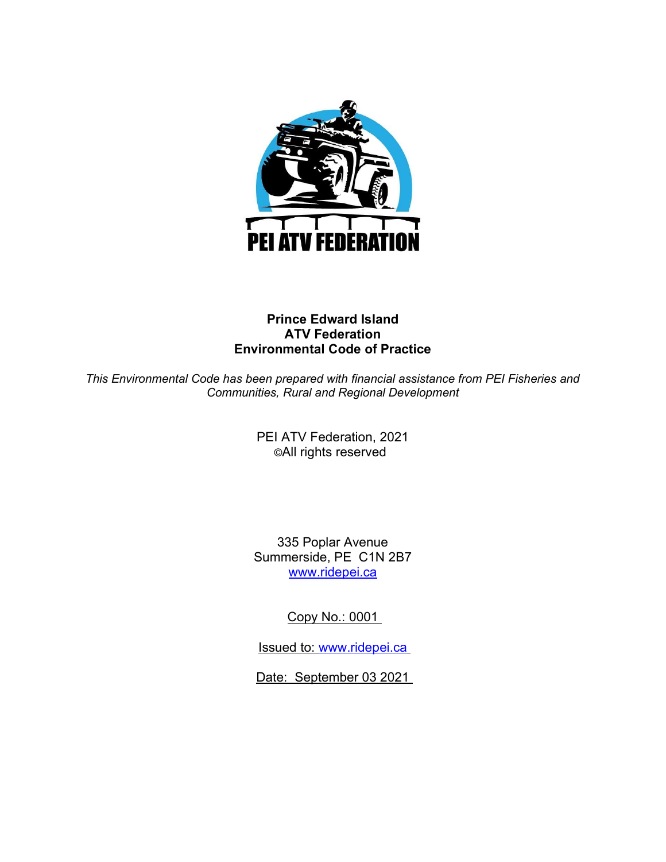

# Prince Edward Island ATV Federation Environmental Code of Practice

This Environmental Code has been prepared with financial assistance from PEI Fisheries and Communities, Rural and Regional Development

> PEI ATV Federation, 2021 ©All rights reserved

335 Poplar Avenue Summerside, PE C1N 2B7 www.ridepei.ca

Copy No.: 0001

Issued to: www.ridepei.ca

Date: September 03 2021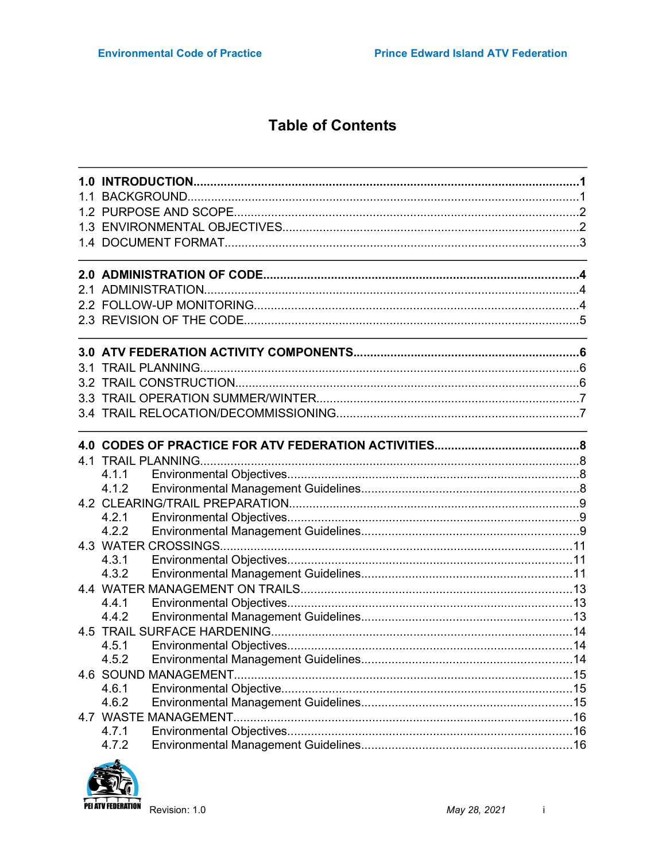# **Table of Contents**

| 4.1.1                |  |
|----------------------|--|
| 4.1.2                |  |
|                      |  |
| 4.2.1                |  |
| 4.2.2                |  |
|                      |  |
| 4.3.1<br>4.3.2       |  |
|                      |  |
| 4.4.1                |  |
| 4.4.2                |  |
|                      |  |
| 4.5.1                |  |
|                      |  |
| 4.6 SOUND MANAGEMENT |  |
| 4.6.1                |  |
| 4.6.2                |  |
|                      |  |
| 4.7.1                |  |
| 4.7.2                |  |

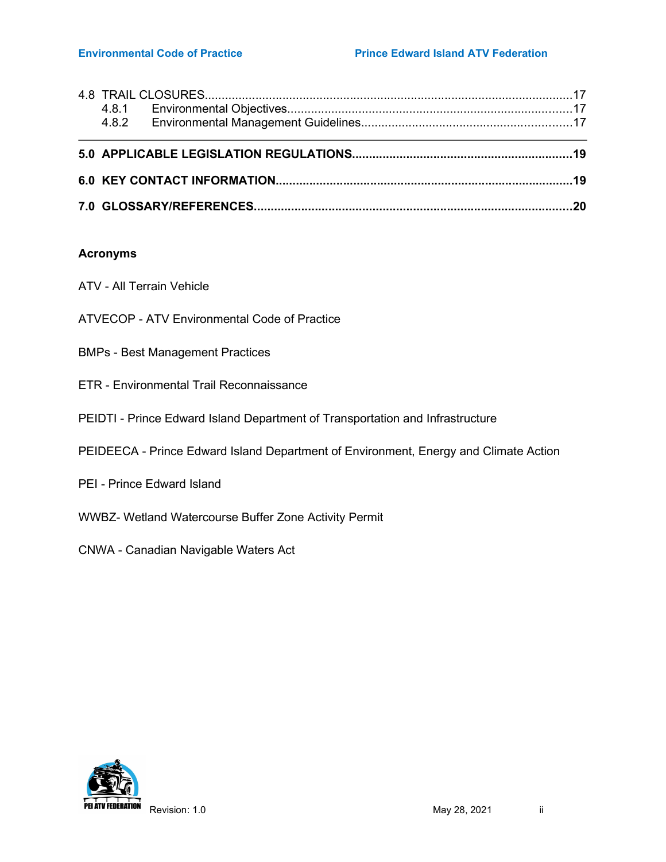#### Environmental Code of Practice **Prince Edward Island ATV Federation**

# Acronyms

- ATV All Terrain Vehicle
- ATVECOP ATV Environmental Code of Practice
- BMPs Best Management Practices
- ETR Environmental Trail Reconnaissance
- PEIDTI Prince Edward Island Department of Transportation and Infrastructure
- PEIDEECA Prince Edward Island Department of Environment, Energy and Climate Action
- PEI Prince Edward Island
- WWBZ- Wetland Watercourse Buffer Zone Activity Permit
- CNWA Canadian Navigable Waters Act

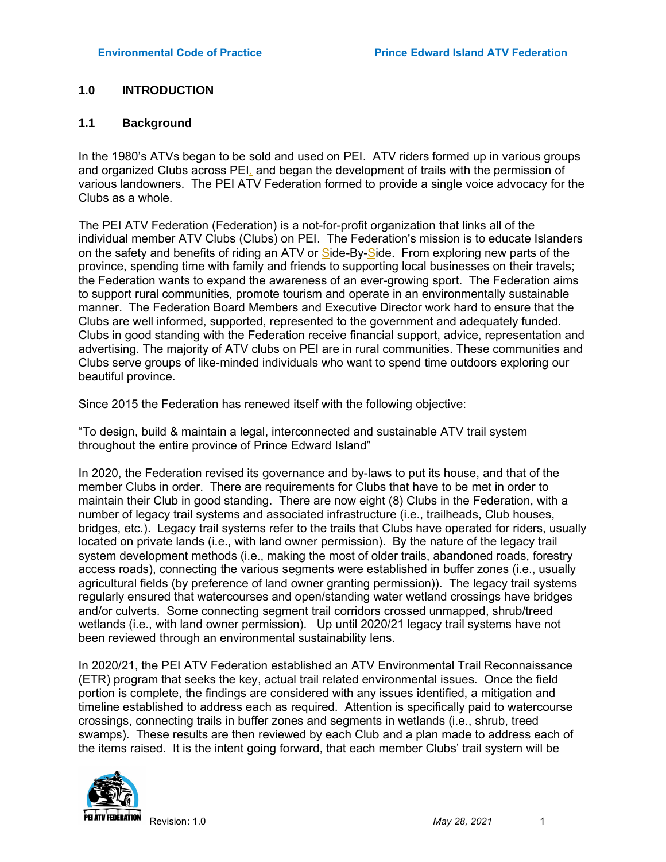# 1.0 INTRODUCTION

### 1.1 Background

In the 1980's ATVs began to be sold and used on PEI. ATV riders formed up in various groups and organized Clubs across PEI, and began the development of trails with the permission of various landowners. The PEI ATV Federation formed to provide a single voice advocacy for the Clubs as a whole.

The PEI ATV Federation (Federation) is a not-for-profit organization that links all of the individual member ATV Clubs (Clubs) on PEI. The Federation's mission is to educate Islanders on the safety and benefits of riding an ATV or Side-By-Side. From exploring new parts of the province, spending time with family and friends to supporting local businesses on their travels; the Federation wants to expand the awareness of an ever-growing sport. The Federation aims to support rural communities, promote tourism and operate in an environmentally sustainable manner. The Federation Board Members and Executive Director work hard to ensure that the Clubs are well informed, supported, represented to the government and adequately funded. Clubs in good standing with the Federation receive financial support, advice, representation and advertising. The majority of ATV clubs on PEI are in rural communities. These communities and Clubs serve groups of like-minded individuals who want to spend time outdoors exploring our beautiful province.

Since 2015 the Federation has renewed itself with the following objective:

"To design, build & maintain a legal, interconnected and sustainable ATV trail system throughout the entire province of Prince Edward Island"

In 2020, the Federation revised its governance and by-laws to put its house, and that of the member Clubs in order. There are requirements for Clubs that have to be met in order to maintain their Club in good standing. There are now eight (8) Clubs in the Federation, with a number of legacy trail systems and associated infrastructure (i.e., trailheads, Club houses, bridges, etc.). Legacy trail systems refer to the trails that Clubs have operated for riders, usually located on private lands (i.e., with land owner permission). By the nature of the legacy trail system development methods (i.e., making the most of older trails, abandoned roads, forestry access roads), connecting the various segments were established in buffer zones (i.e., usually agricultural fields (by preference of land owner granting permission)). The legacy trail systems regularly ensured that watercourses and open/standing water wetland crossings have bridges and/or culverts. Some connecting segment trail corridors crossed unmapped, shrub/treed wetlands (i.e., with land owner permission). Up until 2020/21 legacy trail systems have not been reviewed through an environmental sustainability lens.

In 2020/21, the PEI ATV Federation established an ATV Environmental Trail Reconnaissance (ETR) program that seeks the key, actual trail related environmental issues. Once the field portion is complete, the findings are considered with any issues identified, a mitigation and timeline established to address each as required. Attention is specifically paid to watercourse crossings, connecting trails in buffer zones and segments in wetlands (i.e., shrub, treed swamps). These results are then reviewed by each Club and a plan made to address each of the items raised. It is the intent going forward, that each member Clubs' trail system will be

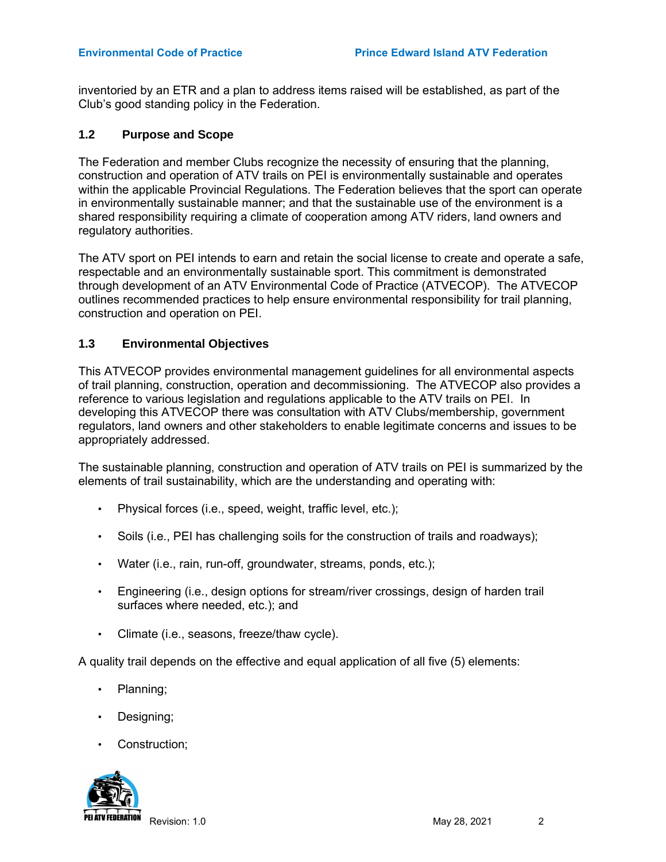inventoried by an ETR and a plan to address items raised will be established, as part of the Club's good standing policy in the Federation.

#### 1.2 Purpose and Scope

The Federation and member Clubs recognize the necessity of ensuring that the planning, construction and operation of ATV trails on PEI is environmentally sustainable and operates within the applicable Provincial Regulations. The Federation believes that the sport can operate in environmentally sustainable manner; and that the sustainable use of the environment is a shared responsibility requiring a climate of cooperation among ATV riders, land owners and regulatory authorities.

The ATV sport on PEI intends to earn and retain the social license to create and operate a safe, respectable and an environmentally sustainable sport. This commitment is demonstrated through development of an ATV Environmental Code of Practice (ATVECOP). The ATVECOP outlines recommended practices to help ensure environmental responsibility for trail planning, construction and operation on PEI.

# 1.3 Environmental Objectives

This ATVECOP provides environmental management guidelines for all environmental aspects of trail planning, construction, operation and decommissioning. The ATVECOP also provides a reference to various legislation and regulations applicable to the ATV trails on PEI. In developing this ATVECOP there was consultation with ATV Clubs/membership, government regulators, land owners and other stakeholders to enable legitimate concerns and issues to be appropriately addressed.

The sustainable planning, construction and operation of ATV trails on PEI is summarized by the elements of trail sustainability, which are the understanding and operating with:

- Physical forces (i.e., speed, weight, traffic level, etc.);
- Soils (i.e., PEI has challenging soils for the construction of trails and roadways);
- Water (i.e., rain, run-off, groundwater, streams, ponds, etc.);
- Engineering (i.e., design options for stream/river crossings, design of harden trail surfaces where needed, etc.); and
- Climate (i.e., seasons, freeze/thaw cycle).

A quality trail depends on the effective and equal application of all five (5) elements:

- Planning;
- Designing;
- Construction:

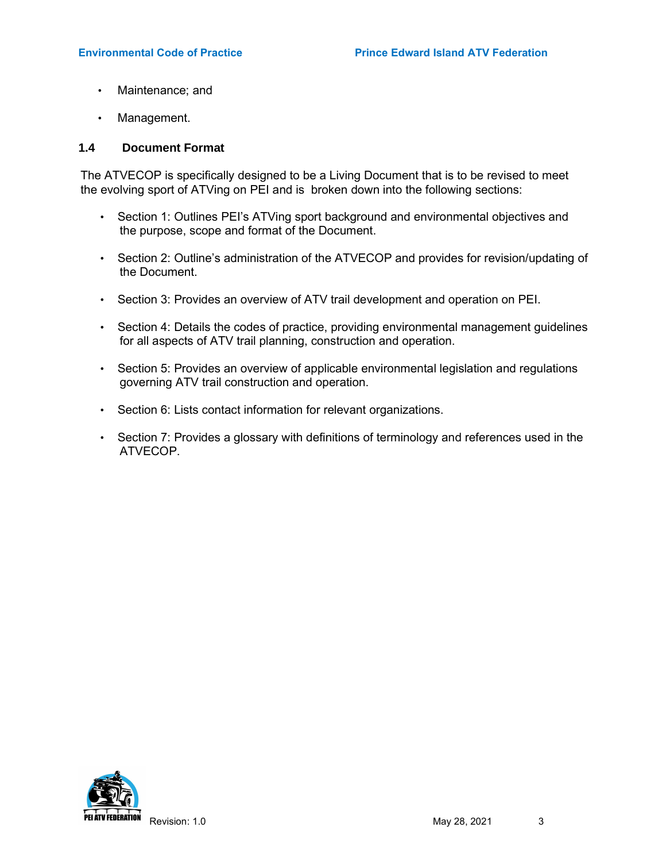- Maintenance; and
- Management.

#### 1.4 Document Format

The ATVECOP is specifically designed to be a Living Document that is to be revised to meet the evolving sport of ATVing on PEI and is broken down into the following sections:

- Section 1: Outlines PEI's ATVing sport background and environmental objectives and the purpose, scope and format of the Document.
- Section 2: Outline's administration of the ATVECOP and provides for revision/updating of the Document.
- Section 3: Provides an overview of ATV trail development and operation on PEI.
- Section 4: Details the codes of practice, providing environmental management guidelines for all aspects of ATV trail planning, construction and operation.
- Section 5: Provides an overview of applicable environmental legislation and regulations governing ATV trail construction and operation.
- Section 6: Lists contact information for relevant organizations.
- Section 7: Provides a glossary with definitions of terminology and references used in the ATVECOP.

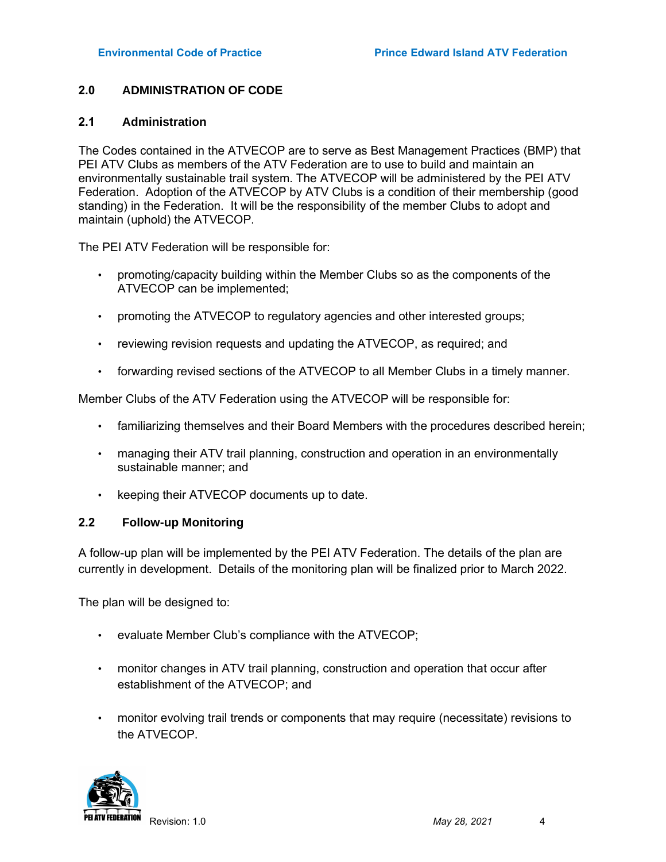# 2.0 ADMINISTRATION OF CODE

#### 2.1 Administration

The Codes contained in the ATVECOP are to serve as Best Management Practices (BMP) that PEI ATV Clubs as members of the ATV Federation are to use to build and maintain an environmentally sustainable trail system. The ATVECOP will be administered by the PEI ATV Federation. Adoption of the ATVECOP by ATV Clubs is a condition of their membership (good standing) in the Federation. It will be the responsibility of the member Clubs to adopt and maintain (uphold) the ATVECOP.

The PEI ATV Federation will be responsible for:

- promoting/capacity building within the Member Clubs so as the components of the ATVECOP can be implemented;
- promoting the ATVECOP to regulatory agencies and other interested groups;
- reviewing revision requests and updating the ATVECOP, as required; and
- forwarding revised sections of the ATVECOP to all Member Clubs in a timely manner.

Member Clubs of the ATV Federation using the ATVECOP will be responsible for:

- familiarizing themselves and their Board Members with the procedures described herein;
- managing their ATV trail planning, construction and operation in an environmentally sustainable manner; and
- keeping their ATVECOP documents up to date.

# 2.2 Follow-up Monitoring

A follow-up plan will be implemented by the PEI ATV Federation. The details of the plan are currently in development. Details of the monitoring plan will be finalized prior to March 2022.

The plan will be designed to:

- evaluate Member Club's compliance with the ATVECOP;
- monitor changes in ATV trail planning, construction and operation that occur after establishment of the ATVECOP; and
- monitor evolving trail trends or components that may require (necessitate) revisions to the ATVECOP.

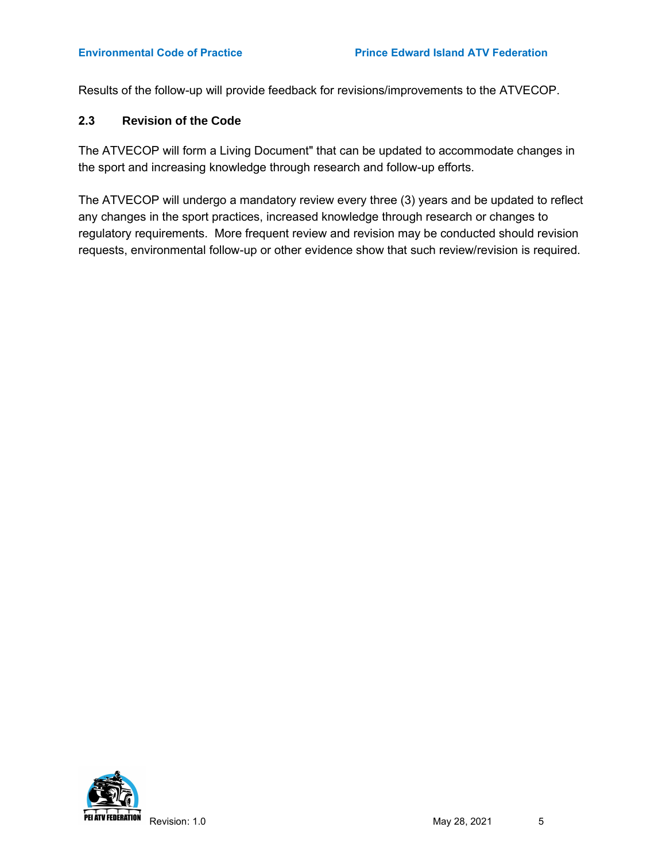Results of the follow-up will provide feedback for revisions/improvements to the ATVECOP.

# 2.3 Revision of the Code

The ATVECOP will form a Living Document" that can be updated to accommodate changes in the sport and increasing knowledge through research and follow-up efforts.

The ATVECOP will undergo a mandatory review every three (3) years and be updated to reflect any changes in the sport practices, increased knowledge through research or changes to regulatory requirements. More frequent review and revision may be conducted should revision requests, environmental follow-up or other evidence show that such review/revision is required.

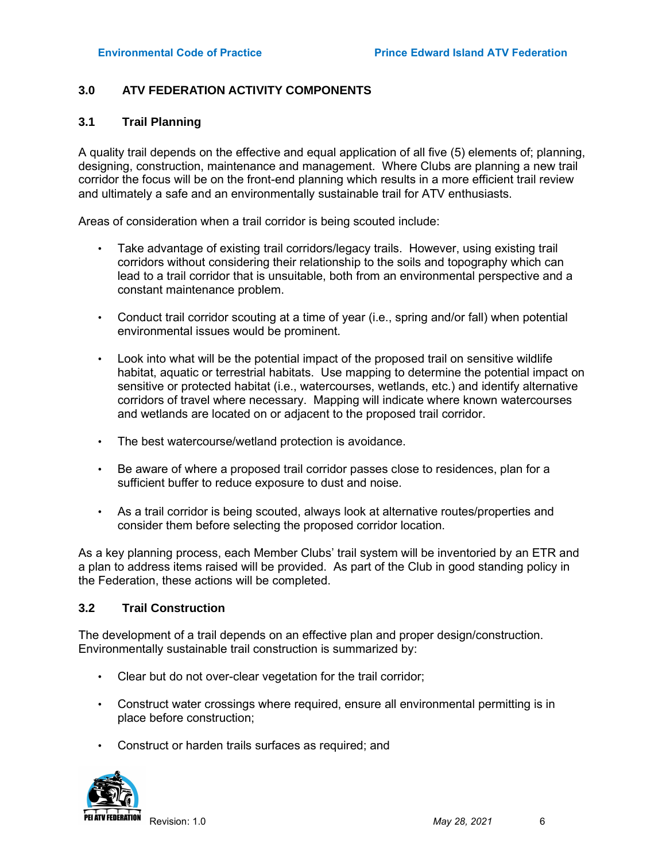# 3.0 ATV FEDERATION ACTIVITY COMPONENTS

### 3.1 Trail Planning

A quality trail depends on the effective and equal application of all five (5) elements of; planning, designing, construction, maintenance and management. Where Clubs are planning a new trail corridor the focus will be on the front-end planning which results in a more efficient trail review and ultimately a safe and an environmentally sustainable trail for ATV enthusiasts.

Areas of consideration when a trail corridor is being scouted include:

- Take advantage of existing trail corridors/legacy trails. However, using existing trail corridors without considering their relationship to the soils and topography which can lead to a trail corridor that is unsuitable, both from an environmental perspective and a constant maintenance problem.
- Conduct trail corridor scouting at a time of year (i.e., spring and/or fall) when potential environmental issues would be prominent.
- Look into what will be the potential impact of the proposed trail on sensitive wildlife habitat, aquatic or terrestrial habitats. Use mapping to determine the potential impact on sensitive or protected habitat (i.e., watercourses, wetlands, etc.) and identify alternative corridors of travel where necessary. Mapping will indicate where known watercourses and wetlands are located on or adjacent to the proposed trail corridor.
- The best watercourse/wetland protection is avoidance.
- Be aware of where a proposed trail corridor passes close to residences, plan for a sufficient buffer to reduce exposure to dust and noise.
- As a trail corridor is being scouted, always look at alternative routes/properties and consider them before selecting the proposed corridor location.

As a key planning process, each Member Clubs' trail system will be inventoried by an ETR and a plan to address items raised will be provided. As part of the Club in good standing policy in the Federation, these actions will be completed.

#### 3.2 Trail Construction

The development of a trail depends on an effective plan and proper design/construction. Environmentally sustainable trail construction is summarized by:

- Clear but do not over-clear vegetation for the trail corridor;
- Construct water crossings where required, ensure all environmental permitting is in place before construction;
- Construct or harden trails surfaces as required; and

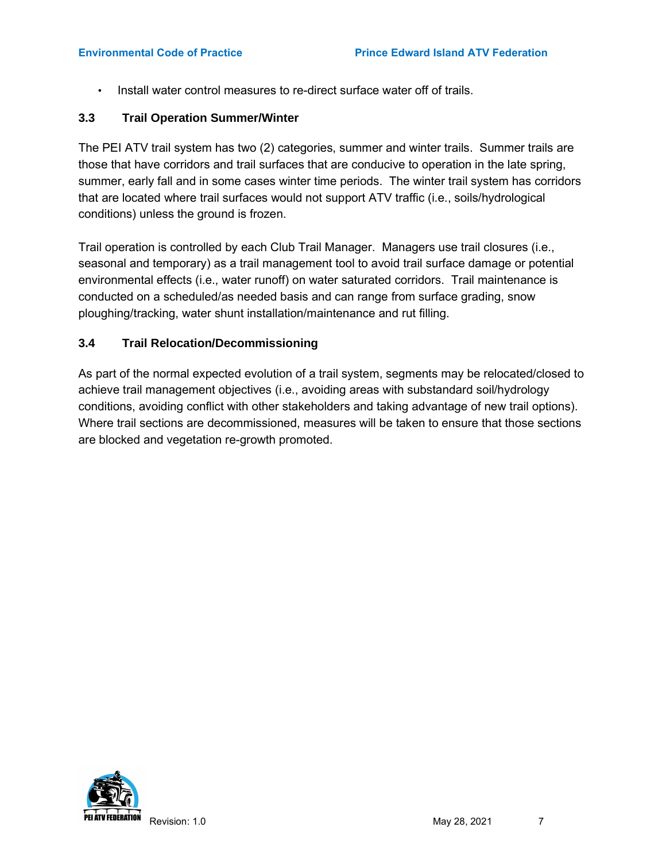Install water control measures to re-direct surface water off of trails.

# 3.3 Trail Operation Summer/Winter

The PEI ATV trail system has two (2) categories, summer and winter trails. Summer trails are those that have corridors and trail surfaces that are conducive to operation in the late spring, summer, early fall and in some cases winter time periods. The winter trail system has corridors that are located where trail surfaces would not support ATV traffic (i.e., soils/hydrological conditions) unless the ground is frozen.

Trail operation is controlled by each Club Trail Manager. Managers use trail closures (i.e., seasonal and temporary) as a trail management tool to avoid trail surface damage or potential environmental effects (i.e., water runoff) on water saturated corridors. Trail maintenance is conducted on a scheduled/as needed basis and can range from surface grading, snow ploughing/tracking, water shunt installation/maintenance and rut filling.

# 3.4 Trail Relocation/Decommissioning

As part of the normal expected evolution of a trail system, segments may be relocated/closed to achieve trail management objectives (i.e., avoiding areas with substandard soil/hydrology conditions, avoiding conflict with other stakeholders and taking advantage of new trail options). Where trail sections are decommissioned, measures will be taken to ensure that those sections are blocked and vegetation re-growth promoted.

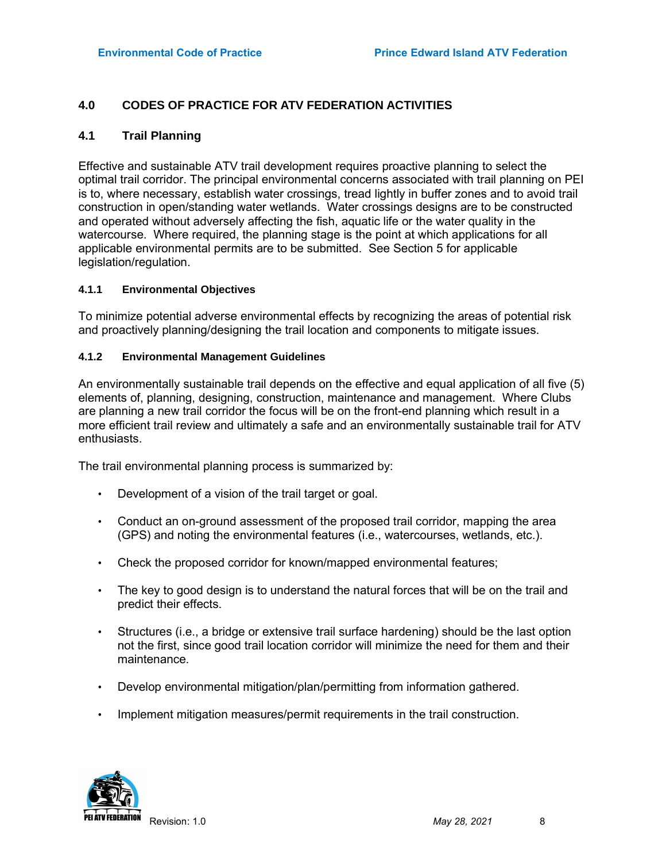# 4.0 CODES OF PRACTICE FOR ATV FEDERATION ACTIVITIES

#### 4.1 Trail Planning

Effective and sustainable ATV trail development requires proactive planning to select the optimal trail corridor. The principal environmental concerns associated with trail planning on PEI is to, where necessary, establish water crossings, tread lightly in buffer zones and to avoid trail construction in open/standing water wetlands. Water crossings designs are to be constructed and operated without adversely affecting the fish, aquatic life or the water quality in the watercourse. Where required, the planning stage is the point at which applications for all applicable environmental permits are to be submitted. See Section 5 for applicable legislation/regulation.

#### 4.1.1 Environmental Objectives

To minimize potential adverse environmental effects by recognizing the areas of potential risk and proactively planning/designing the trail location and components to mitigate issues.

#### 4.1.2 Environmental Management Guidelines

An environmentally sustainable trail depends on the effective and equal application of all five (5) elements of, planning, designing, construction, maintenance and management. Where Clubs are planning a new trail corridor the focus will be on the front-end planning which result in a more efficient trail review and ultimately a safe and an environmentally sustainable trail for ATV enthusiasts.

The trail environmental planning process is summarized by:

- Development of a vision of the trail target or goal.
- Conduct an on-ground assessment of the proposed trail corridor, mapping the area (GPS) and noting the environmental features (i.e., watercourses, wetlands, etc.).
- Check the proposed corridor for known/mapped environmental features;
- The key to good design is to understand the natural forces that will be on the trail and predict their effects.
- Structures (i.e., a bridge or extensive trail surface hardening) should be the last option not the first, since good trail location corridor will minimize the need for them and their maintenance.
- Develop environmental mitigation/plan/permitting from information gathered.
- Implement mitigation measures/permit requirements in the trail construction.

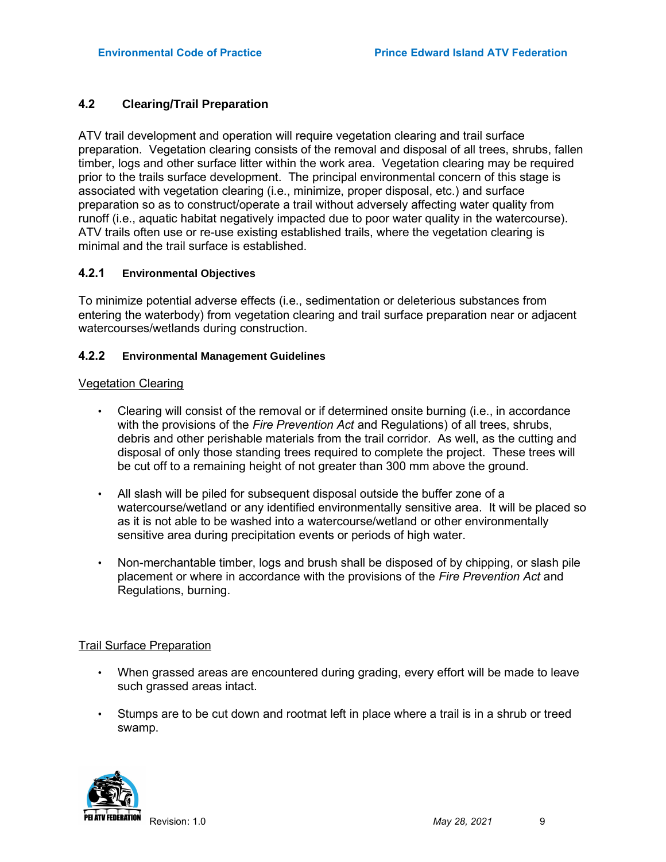# 4.2 Clearing/Trail Preparation

ATV trail development and operation will require vegetation clearing and trail surface preparation. Vegetation clearing consists of the removal and disposal of all trees, shrubs, fallen timber, logs and other surface litter within the work area. Vegetation clearing may be required prior to the trails surface development. The principal environmental concern of this stage is associated with vegetation clearing (i.e., minimize, proper disposal, etc.) and surface preparation so as to construct/operate a trail without adversely affecting water quality from runoff (i.e., aquatic habitat negatively impacted due to poor water quality in the watercourse). ATV trails often use or re-use existing established trails, where the vegetation clearing is minimal and the trail surface is established.

#### 4.2.1 Environmental Objectives

To minimize potential adverse effects (i.e., sedimentation or deleterious substances from entering the waterbody) from vegetation clearing and trail surface preparation near or adjacent watercourses/wetlands during construction.

#### 4.2.2 Environmental Management Guidelines

#### Vegetation Clearing

- Clearing will consist of the removal or if determined onsite burning (i.e., in accordance with the provisions of the Fire Prevention Act and Regulations) of all trees, shrubs, debris and other perishable materials from the trail corridor. As well, as the cutting and disposal of only those standing trees required to complete the project. These trees will be cut off to a remaining height of not greater than 300 mm above the ground.
- All slash will be piled for subsequent disposal outside the buffer zone of a watercourse/wetland or any identified environmentally sensitive area. It will be placed so as it is not able to be washed into a watercourse/wetland or other environmentally sensitive area during precipitation events or periods of high water.
- Non-merchantable timber, logs and brush shall be disposed of by chipping, or slash pile placement or where in accordance with the provisions of the Fire Prevention Act and Regulations, burning.

#### Trail Surface Preparation

- When grassed areas are encountered during grading, every effort will be made to leave such grassed areas intact.
- Stumps are to be cut down and rootmat left in place where a trail is in a shrub or treed swamp.

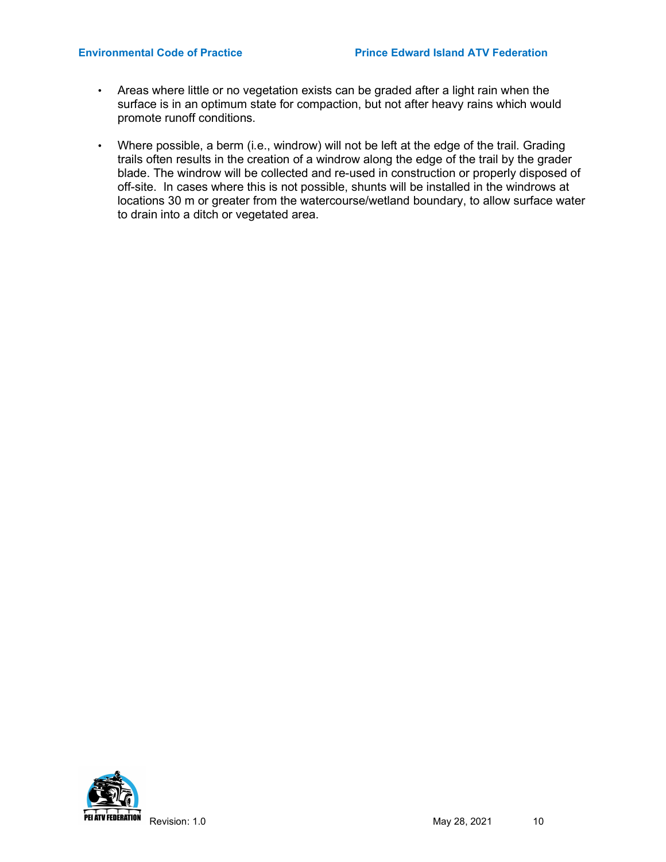- Areas where little or no vegetation exists can be graded after a light rain when the surface is in an optimum state for compaction, but not after heavy rains which would promote runoff conditions.
- Where possible, a berm (i.e., windrow) will not be left at the edge of the trail. Grading trails often results in the creation of a windrow along the edge of the trail by the grader blade. The windrow will be collected and re-used in construction or properly disposed of off-site. In cases where this is not possible, shunts will be installed in the windrows at locations 30 m or greater from the watercourse/wetland boundary, to allow surface water to drain into a ditch or vegetated area.

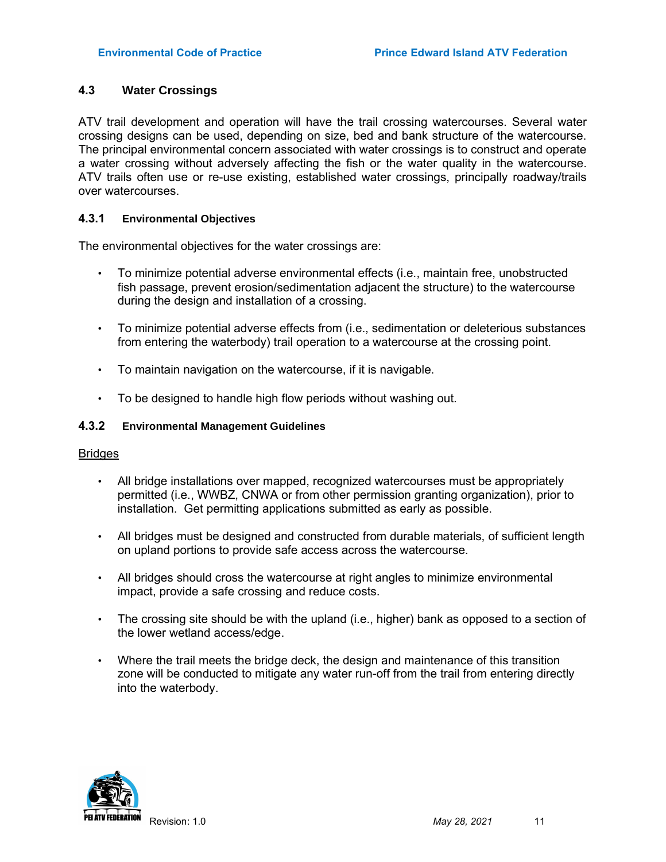# 4.3 Water Crossings

ATV trail development and operation will have the trail crossing watercourses. Several water crossing designs can be used, depending on size, bed and bank structure of the watercourse. The principal environmental concern associated with water crossings is to construct and operate a water crossing without adversely affecting the fish or the water quality in the watercourse. ATV trails often use or re-use existing, established water crossings, principally roadway/trails over watercourses.

#### 4.3.1 Environmental Objectives

The environmental objectives for the water crossings are:

- To minimize potential adverse environmental effects (i.e., maintain free, unobstructed fish passage, prevent erosion/sedimentation adjacent the structure) to the watercourse during the design and installation of a crossing.
- To minimize potential adverse effects from (i.e., sedimentation or deleterious substances from entering the waterbody) trail operation to a watercourse at the crossing point.
- To maintain navigation on the watercourse, if it is navigable.
- To be designed to handle high flow periods without washing out.

#### 4.3.2 Environmental Management Guidelines

#### **Bridges**

- All bridge installations over mapped, recognized watercourses must be appropriately permitted (i.e., WWBZ, CNWA or from other permission granting organization), prior to installation. Get permitting applications submitted as early as possible.
- All bridges must be designed and constructed from durable materials, of sufficient length on upland portions to provide safe access across the watercourse.
- All bridges should cross the watercourse at right angles to minimize environmental impact, provide a safe crossing and reduce costs.
- The crossing site should be with the upland (i.e., higher) bank as opposed to a section of the lower wetland access/edge.
- Where the trail meets the bridge deck, the design and maintenance of this transition zone will be conducted to mitigate any water run-off from the trail from entering directly into the waterbody.

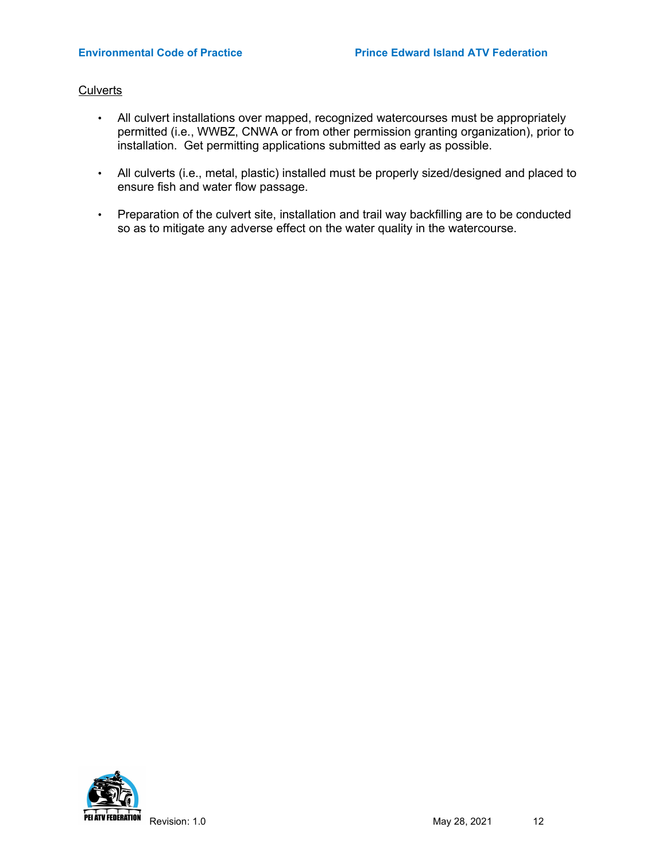#### **Culverts**

- All culvert installations over mapped, recognized watercourses must be appropriately permitted (i.e., WWBZ, CNWA or from other permission granting organization), prior to installation. Get permitting applications submitted as early as possible.
- All culverts (i.e., metal, plastic) installed must be properly sized/designed and placed to ensure fish and water flow passage.
- Preparation of the culvert site, installation and trail way backfilling are to be conducted so as to mitigate any adverse effect on the water quality in the watercourse.

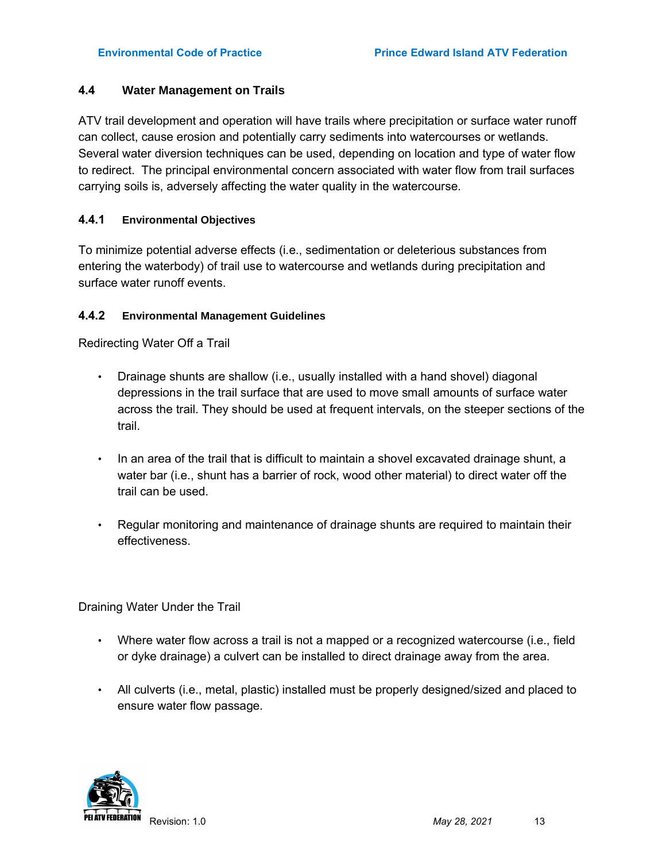# 4.4 Water Management on Trails

ATV trail development and operation will have trails where precipitation or surface water runoff can collect, cause erosion and potentially carry sediments into watercourses or wetlands. Several water diversion techniques can be used, depending on location and type of water flow to redirect. The principal environmental concern associated with water flow from trail surfaces carrying soils is, adversely affecting the water quality in the watercourse.

# 4.4.1 Environmental Objectives

To minimize potential adverse effects (i.e., sedimentation or deleterious substances from entering the waterbody) of trail use to watercourse and wetlands during precipitation and surface water runoff events.

# 4.4.2 Environmental Management Guidelines

Redirecting Water Off a Trail

- Drainage shunts are shallow (i.e., usually installed with a hand shovel) diagonal depressions in the trail surface that are used to move small amounts of surface water across the trail. They should be used at frequent intervals, on the steeper sections of the trail.
- In an area of the trail that is difficult to maintain a shovel excavated drainage shunt, a water bar (i.e., shunt has a barrier of rock, wood other material) to direct water off the trail can be used.
- Regular monitoring and maintenance of drainage shunts are required to maintain their effectiveness.

Draining Water Under the Trail

- Where water flow across a trail is not a mapped or a recognized watercourse (i.e., field or dyke drainage) a culvert can be installed to direct drainage away from the area.
- All culverts (i.e., metal, plastic) installed must be properly designed/sized and placed to ensure water flow passage.

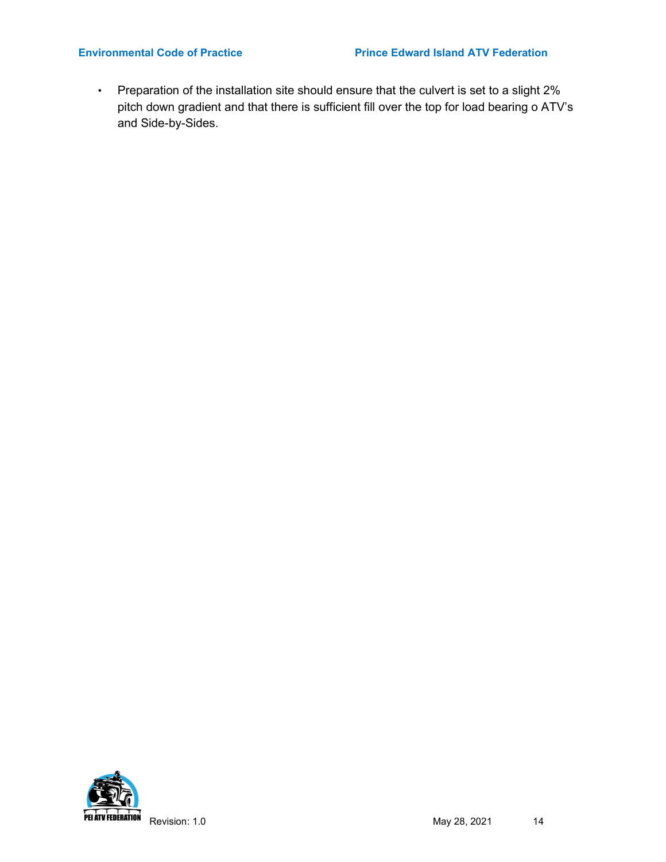• Preparation of the installation site should ensure that the culvert is set to a slight 2% pitch down gradient and that there is sufficient fill over the top for load bearing o ATV's and Side-by-Sides.

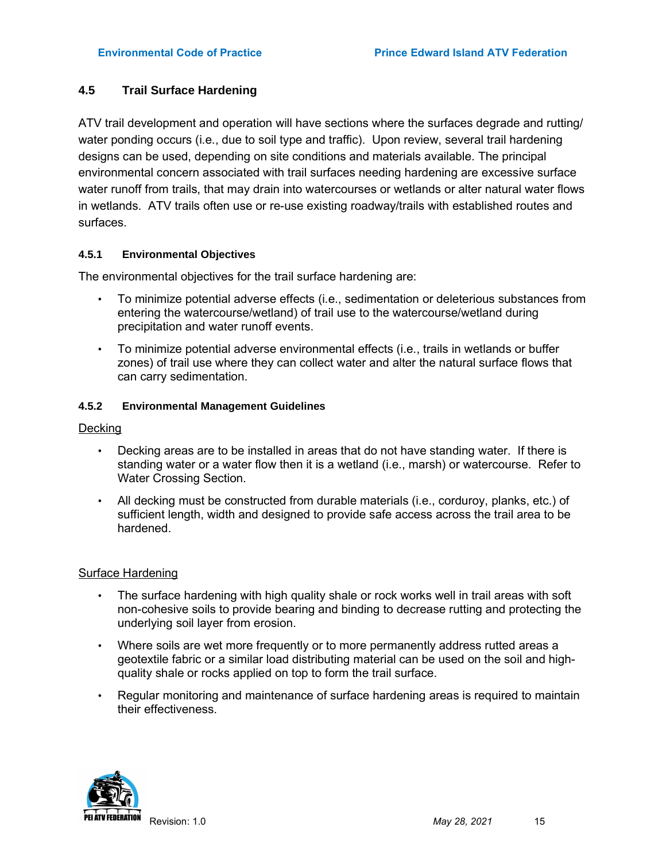# 4.5 Trail Surface Hardening

ATV trail development and operation will have sections where the surfaces degrade and rutting/ water ponding occurs (i.e., due to soil type and traffic). Upon review, several trail hardening designs can be used, depending on site conditions and materials available. The principal environmental concern associated with trail surfaces needing hardening are excessive surface water runoff from trails, that may drain into watercourses or wetlands or alter natural water flows in wetlands. ATV trails often use or re-use existing roadway/trails with established routes and surfaces.

# 4.5.1 Environmental Objectives

The environmental objectives for the trail surface hardening are:

- To minimize potential adverse effects (i.e., sedimentation or deleterious substances from entering the watercourse/wetland) of trail use to the watercourse/wetland during precipitation and water runoff events.
- To minimize potential adverse environmental effects (i.e., trails in wetlands or buffer zones) of trail use where they can collect water and alter the natural surface flows that can carry sedimentation.

#### 4.5.2 Environmental Management Guidelines

# Decking

- Decking areas are to be installed in areas that do not have standing water. If there is standing water or a water flow then it is a wetland (i.e., marsh) or watercourse. Refer to Water Crossing Section.
- All decking must be constructed from durable materials (i.e., corduroy, planks, etc.) of sufficient length, width and designed to provide safe access across the trail area to be hardened.

#### Surface Hardening

- The surface hardening with high quality shale or rock works well in trail areas with soft non-cohesive soils to provide bearing and binding to decrease rutting and protecting the underlying soil layer from erosion.
- Where soils are wet more frequently or to more permanently address rutted areas a geotextile fabric or a similar load distributing material can be used on the soil and highquality shale or rocks applied on top to form the trail surface.
- Regular monitoring and maintenance of surface hardening areas is required to maintain their effectiveness.

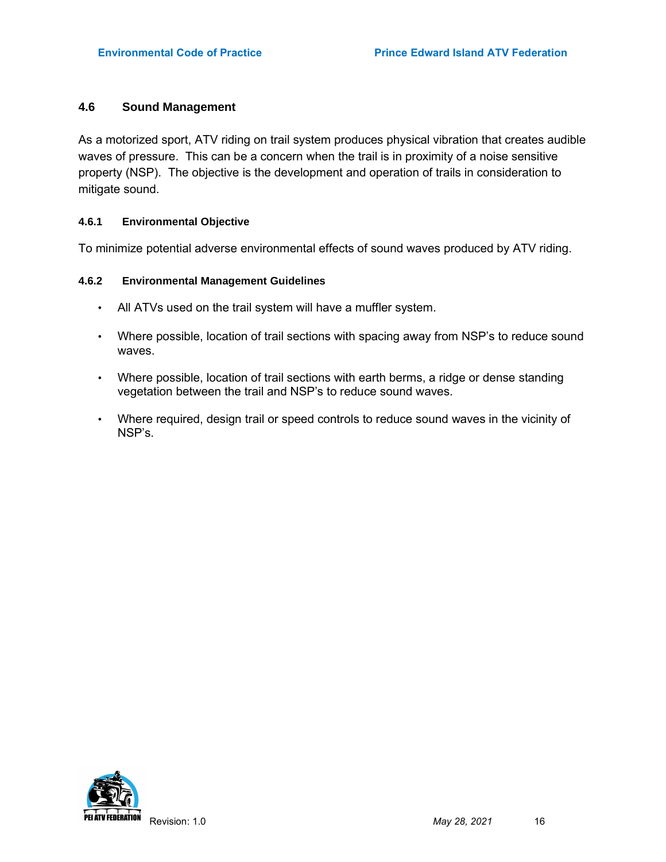# 4.6 Sound Management

As a motorized sport, ATV riding on trail system produces physical vibration that creates audible waves of pressure. This can be a concern when the trail is in proximity of a noise sensitive property (NSP). The objective is the development and operation of trails in consideration to mitigate sound.

#### 4.6.1 Environmental Objective

To minimize potential adverse environmental effects of sound waves produced by ATV riding.

### 4.6.2 Environmental Management Guidelines

- All ATVs used on the trail system will have a muffler system.
- Where possible, location of trail sections with spacing away from NSP's to reduce sound waves.
- Where possible, location of trail sections with earth berms, a ridge or dense standing vegetation between the trail and NSP's to reduce sound waves.
- Where required, design trail or speed controls to reduce sound waves in the vicinity of NSP's.

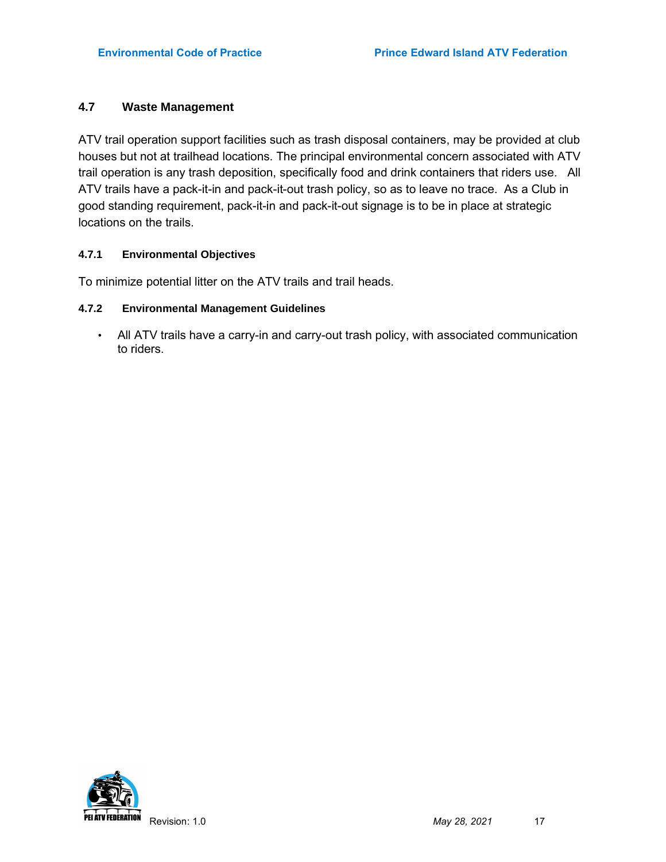# 4.7 Waste Management

ATV trail operation support facilities such as trash disposal containers, may be provided at club houses but not at trailhead locations. The principal environmental concern associated with ATV trail operation is any trash deposition, specifically food and drink containers that riders use. All ATV trails have a pack-it-in and pack-it-out trash policy, so as to leave no trace. As a Club in good standing requirement, pack-it-in and pack-it-out signage is to be in place at strategic locations on the trails.

#### 4.7.1 Environmental Objectives

To minimize potential litter on the ATV trails and trail heads.

#### 4.7.2 Environmental Management Guidelines

• All ATV trails have a carry-in and carry-out trash policy, with associated communication to riders.

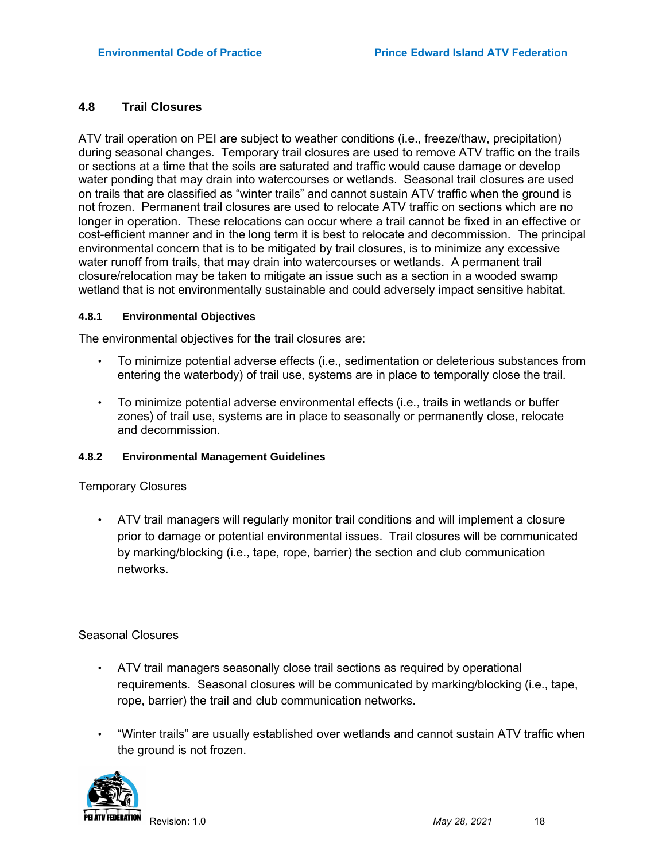### 4.8 Trail Closures

ATV trail operation on PEI are subject to weather conditions (i.e., freeze/thaw, precipitation) during seasonal changes. Temporary trail closures are used to remove ATV traffic on the trails or sections at a time that the soils are saturated and traffic would cause damage or develop water ponding that may drain into watercourses or wetlands. Seasonal trail closures are used on trails that are classified as "winter trails" and cannot sustain ATV traffic when the ground is not frozen. Permanent trail closures are used to relocate ATV traffic on sections which are no longer in operation. These relocations can occur where a trail cannot be fixed in an effective or cost-efficient manner and in the long term it is best to relocate and decommission. The principal environmental concern that is to be mitigated by trail closures, is to minimize any excessive water runoff from trails, that may drain into watercourses or wetlands. A permanent trail closure/relocation may be taken to mitigate an issue such as a section in a wooded swamp wetland that is not environmentally sustainable and could adversely impact sensitive habitat.

#### 4.8.1 Environmental Objectives

The environmental objectives for the trail closures are:

- To minimize potential adverse effects (i.e., sedimentation or deleterious substances from entering the waterbody) of trail use, systems are in place to temporally close the trail.
- To minimize potential adverse environmental effects (i.e., trails in wetlands or buffer zones) of trail use, systems are in place to seasonally or permanently close, relocate and decommission.

#### 4.8.2 Environmental Management Guidelines

Temporary Closures

• ATV trail managers will regularly monitor trail conditions and will implement a closure prior to damage or potential environmental issues. Trail closures will be communicated by marking/blocking (i.e., tape, rope, barrier) the section and club communication networks.

#### Seasonal Closures

- ATV trail managers seasonally close trail sections as required by operational requirements. Seasonal closures will be communicated by marking/blocking (i.e., tape, rope, barrier) the trail and club communication networks.
- "Winter trails" are usually established over wetlands and cannot sustain ATV traffic when the ground is not frozen.

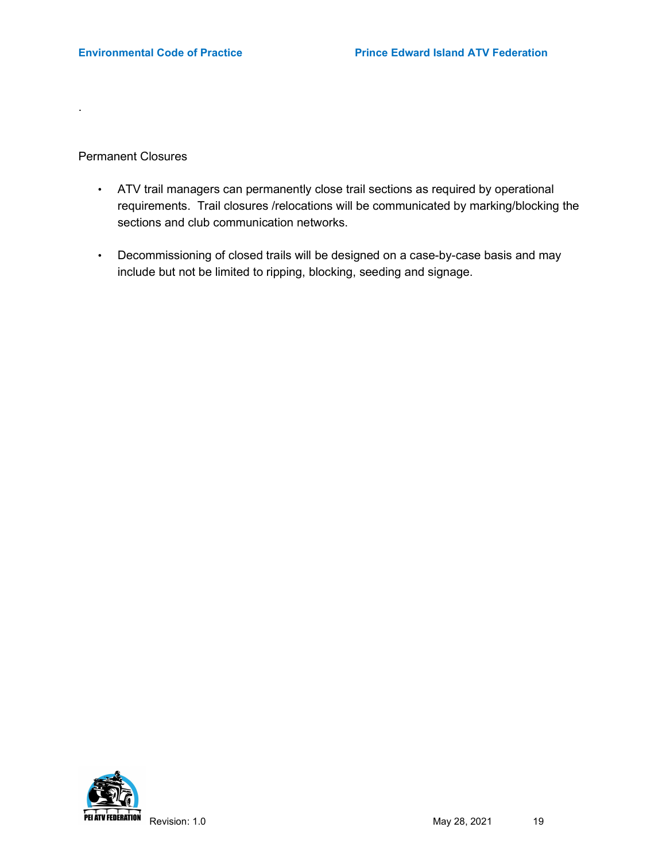Permanent Closures

.

- ATV trail managers can permanently close trail sections as required by operational requirements. Trail closures /relocations will be communicated by marking/blocking the sections and club communication networks.
- Decommissioning of closed trails will be designed on a case-by-case basis and may include but not be limited to ripping, blocking, seeding and signage.

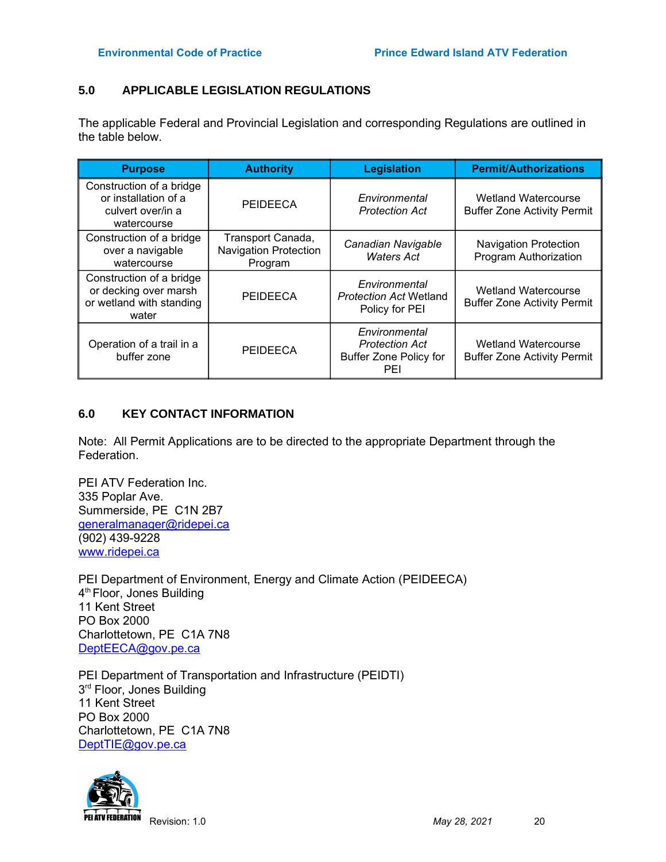# 5.0 APPLICABLE LEGISLATION REGULATIONS

The applicable Federal and Provincial Legislation and corresponding Regulations are outlined in the table below.

| <b>Purpose</b>                                                                         | <b>Authority</b>                                             | <b>Legislation</b>                                                             | <b>Permit/Authorizations</b>                                     |
|----------------------------------------------------------------------------------------|--------------------------------------------------------------|--------------------------------------------------------------------------------|------------------------------------------------------------------|
| Construction of a bridge<br>or installation of a<br>culvert over/in a<br>watercourse   | PEIDEECA                                                     | Environmental<br><b>Protection Act</b>                                         | <b>Wetland Watercourse</b><br><b>Buffer Zone Activity Permit</b> |
| Construction of a bridge<br>over a navigable<br>watercourse                            | Transport Canada,<br><b>Navigation Protection</b><br>Program | Canadian Navigable<br><b>Waters Act</b>                                        | <b>Navigation Protection</b><br>Program Authorization            |
| Construction of a bridge<br>or decking over marsh<br>or wetland with standing<br>water | <b>PEIDEECA</b>                                              | Environmental<br><b>Protection Act Wetland</b><br>Policy for PEI               | <b>Wetland Watercourse</b><br><b>Buffer Zone Activity Permit</b> |
| Operation of a trail in a<br>buffer zone                                               | <b>PEIDEECA</b>                                              | Environmental<br><b>Protection Act</b><br><b>Buffer Zone Policy for</b><br>PEI | <b>Wetland Watercourse</b><br><b>Buffer Zone Activity Permit</b> |

# 6.0 KEY CONTACT INFORMATION

Note: All Permit Applications are to be directed to the appropriate Department through the Federation.

PEI ATV Federation Inc. 335 Poplar Ave. Summerside, PE C1N 2B7 generalmanager@ridepei.ca (902) 439-9228 www.ridepei.ca

PEI Department of Environment, Energy and Climate Action (PEIDEECA) 4 th Floor, Jones Building 11 Kent Street PO Box 2000 Charlottetown, PE C1A 7N8 DeptEECA@gov.pe.ca

PEI Department of Transportation and Infrastructure (PEIDTI) 3<sup>rd</sup> Floor, Jones Building 11 Kent Street PO Box 2000 Charlottetown, PE C1A 7N8 DeptTIE@gov.pe.ca

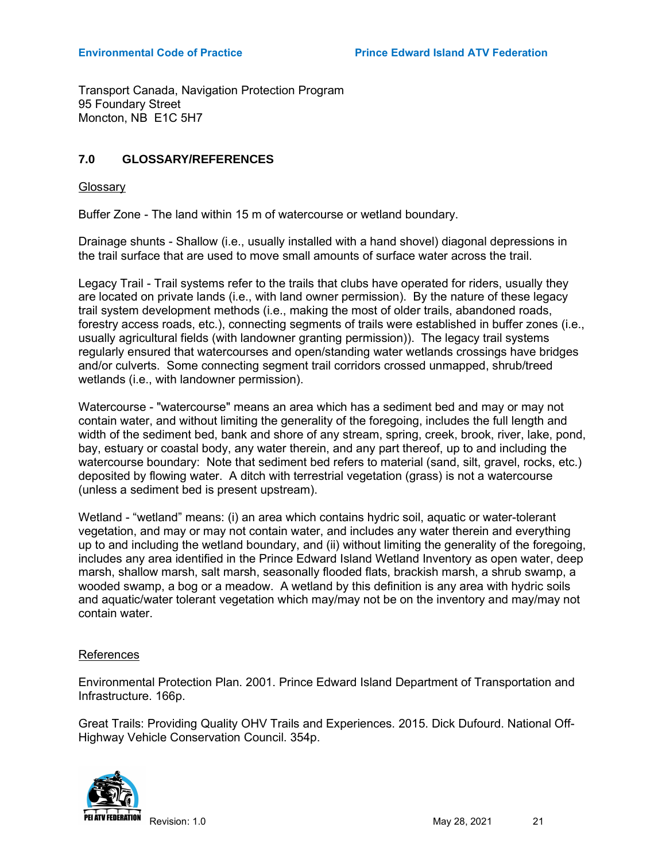Transport Canada, Navigation Protection Program 95 Foundary Street Moncton, NB E1C 5H7

# 7.0 GLOSSARY/REFERENCES

**Glossary** 

Buffer Zone - The land within 15 m of watercourse or wetland boundary.

Drainage shunts - Shallow (i.e., usually installed with a hand shovel) diagonal depressions in the trail surface that are used to move small amounts of surface water across the trail.

Legacy Trail - Trail systems refer to the trails that clubs have operated for riders, usually they are located on private lands (i.e., with land owner permission). By the nature of these legacy trail system development methods (i.e., making the most of older trails, abandoned roads, forestry access roads, etc.), connecting segments of trails were established in buffer zones (i.e., usually agricultural fields (with landowner granting permission)). The legacy trail systems regularly ensured that watercourses and open/standing water wetlands crossings have bridges and/or culverts. Some connecting segment trail corridors crossed unmapped, shrub/treed wetlands (i.e., with landowner permission).

Watercourse - "watercourse" means an area which has a sediment bed and may or may not contain water, and without limiting the generality of the foregoing, includes the full length and width of the sediment bed, bank and shore of any stream, spring, creek, brook, river, lake, pond, bay, estuary or coastal body, any water therein, and any part thereof, up to and including the watercourse boundary: Note that sediment bed refers to material (sand, silt, gravel, rocks, etc.) deposited by flowing water. A ditch with terrestrial vegetation (grass) is not a watercourse (unless a sediment bed is present upstream).

Wetland - "wetland" means: (i) an area which contains hydric soil, aquatic or water-tolerant vegetation, and may or may not contain water, and includes any water therein and everything up to and including the wetland boundary, and (ii) without limiting the generality of the foregoing, includes any area identified in the Prince Edward Island Wetland Inventory as open water, deep marsh, shallow marsh, salt marsh, seasonally flooded flats, brackish marsh, a shrub swamp, a wooded swamp, a bog or a meadow. A wetland by this definition is any area with hydric soils and aquatic/water tolerant vegetation which may/may not be on the inventory and may/may not contain water.

#### References

Environmental Protection Plan. 2001. Prince Edward Island Department of Transportation and Infrastructure. 166p.

Great Trails: Providing Quality OHV Trails and Experiences. 2015. Dick Dufourd. National Off-Highway Vehicle Conservation Council. 354p.